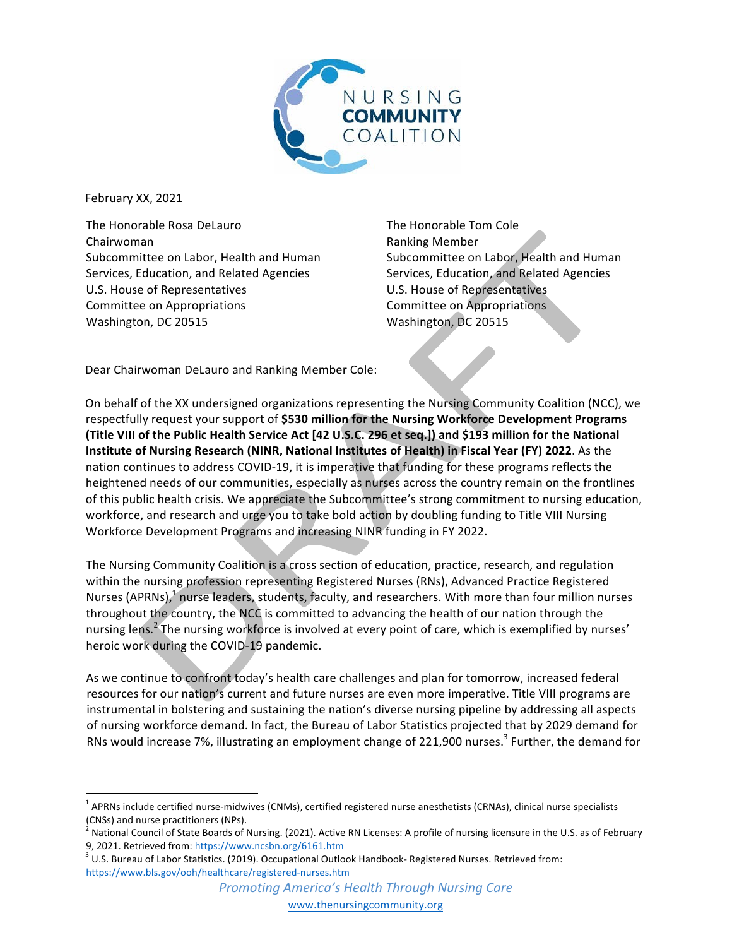

February XX, 2021

The Honorable Rosa DeLauro Chairwoman Subcommittee on Labor, Health and Human Services, Education, and Related Agencies U.S. House of Representatives Committee on Appropriations Washington, DC 20515

The Honorable Tom Cole Ranking Member Subcommittee on Labor, Health and Human Services, Education, and Related Agencies U.S. House of Representatives Committee on Appropriations Washington, DC 20515

Dear Chairwoman DeLauro and Ranking Member Cole:

On behalf of the XX undersigned organizations representing the Nursing Community Coalition (NCC), we respectfully request your support of \$530 million for the Nursing Workforce Development Programs **(Title VIII of the Public Health Service Act [42 U.S.C. 296 et seq.]) and \$193 million for the National Institute of Nursing Research (NINR, National Institutes of Health) in Fiscal Year (FY) 2022**. As the nation continues to address COVID-19, it is imperative that funding for these programs reflects the heightened needs of our communities, especially as nurses across the country remain on the frontlines of this public health crisis. We appreciate the Subcommittee's strong commitment to nursing education, workforce, and research and urge you to take bold action by doubling funding to Title VIII Nursing Workforce Development Programs and increasing NINR funding in FY 2022.

The Nursing Community Coalition is a cross section of education, practice, research, and regulation within the nursing profession representing Registered Nurses (RNs), Advanced Practice Registered Nurses (APRNs), $\frac{1}{l}$  nurse leaders, students, faculty, and researchers. With more than four million nurses throughout the country, the NCC is committed to advancing the health of our nation through the nursing lens.<sup>2</sup> The nursing workforce is involved at every point of care, which is exemplified by nurses' heroic work during the COVID-19 pandemic.

As we continue to confront today's health care challenges and plan for tomorrow, increased federal resources for our nation's current and future nurses are even more imperative. Title VIII programs are instrumental in bolstering and sustaining the nation's diverse nursing pipeline by addressing all aspects of nursing workforce demand. In fact, the Bureau of Labor Statistics projected that by 2029 demand for RNs would increase 7%, illustrating an employment change of 221,900 nurses.<sup>3</sup> Further, the demand for

 $^1$  APRNs include certified nurse-midwives (CNMs), certified registered nurse anesthetists (CRNAs), clinical nurse specialists

<sup>(</sup>CNSs) and nurse practitioners (NPs).<br><sup>2</sup> National Council of State Boards of Nursing. (2021). Active RN Licenses: A profile of nursing licensure in the U.S. as of February 9, 2021. Retrieved from: https://www.ncsbn.org/6161.htm<br><sup>3</sup> U.S. Bureau of Labor Statistics. (2019). Occupational Outlook Handbook- Registered Nurses. Retrieved from:

https://www.bls.gov/ooh/healthcare/registered-nurses.htm